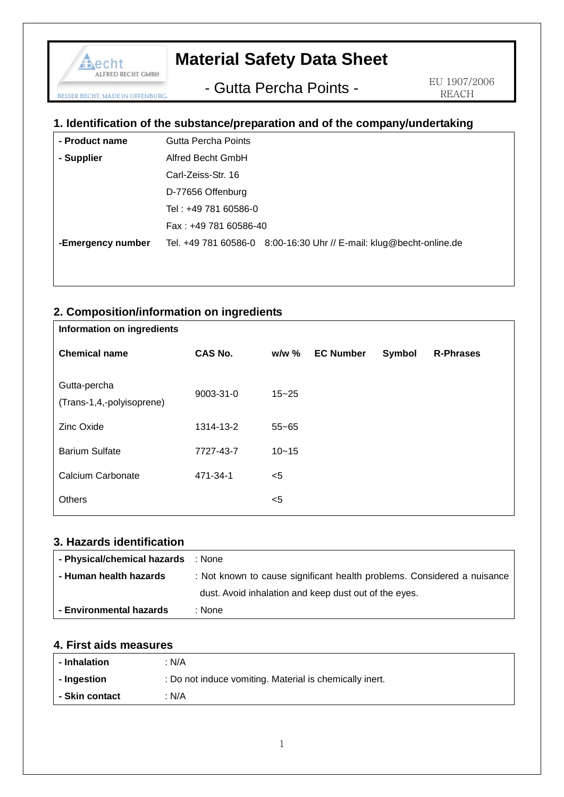# **Material Safety Data Sheet**

- Gutta Percha Points -

 EU 1907/2006 REACH

## **1. Identification of the substance/preparation and of the company/undertaking**

| - Product name    | Gutta Percha Points   |                                                                     |  |
|-------------------|-----------------------|---------------------------------------------------------------------|--|
| - Supplier        | Alfred Becht GmbH     |                                                                     |  |
|                   | Carl-Zeiss-Str. 16    |                                                                     |  |
|                   | D-77656 Offenburg     |                                                                     |  |
|                   | Tel: +49 781 60586-0  |                                                                     |  |
|                   | Fax: +49 781 60586-40 |                                                                     |  |
| -Emergency number |                       | Tel. +49 781 60586-0 8:00-16:30 Uhr // E-mail: klug@becht-online.de |  |
|                   |                       |                                                                     |  |

## **2. Composition/information on ingredients**

| Information on ingredients                |                |           |                  |        |                  |
|-------------------------------------------|----------------|-----------|------------------|--------|------------------|
| <b>Chemical name</b>                      | <b>CAS No.</b> | $w/w$ %   | <b>EC Number</b> | Symbol | <b>R-Phrases</b> |
| Gutta-percha<br>(Trans-1,4,-polyisoprene) | 9003-31-0      | $15 - 25$ |                  |        |                  |
| <b>Zinc Oxide</b>                         | 1314-13-2      | $55 - 65$ |                  |        |                  |
| <b>Barium Sulfate</b>                     | 7727-43-7      | $10 - 15$ |                  |        |                  |
| Calcium Carbonate                         | 471-34-1       | $<$ 5     |                  |        |                  |
| <b>Others</b>                             |                | $<$ 5     |                  |        |                  |

#### **3. Hazards identification**

echt

**BESSER BECHT. MADE IN OFFENBURG** 

ALFRED BECHT GMBH

| - Physical/chemical hazards : None |                                                                         |
|------------------------------------|-------------------------------------------------------------------------|
| - Human health hazards             | : Not known to cause significant health problems. Considered a nuisance |
|                                    | dust. Avoid inhalation and keep dust out of the eyes.                   |
| - Environmental hazards            | : None                                                                  |

### **4. First aids measures**

| - Inhalation   | : N/A                                                   |
|----------------|---------------------------------------------------------|
| - Ingestion    | : Do not induce vomiting. Material is chemically inert. |
| - Skin contact | : N/A                                                   |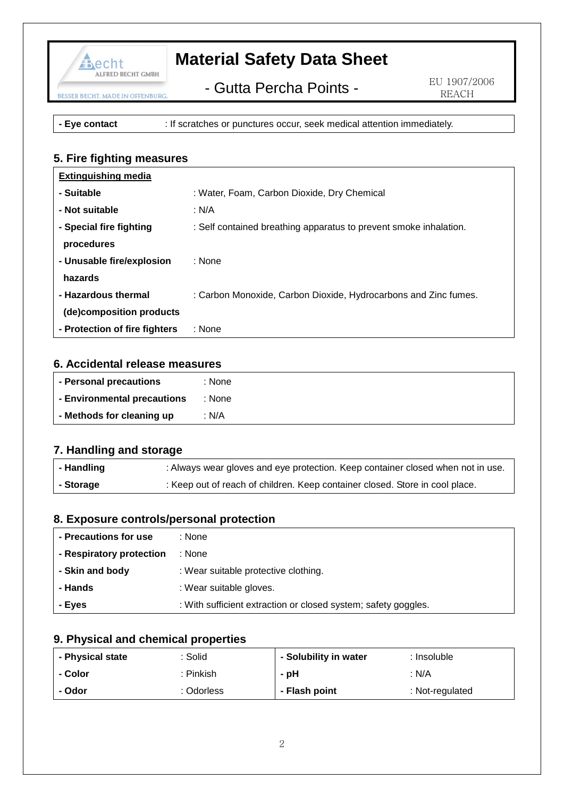

## **Material Safety Data Sheet**

- Gutta Percha Points -

**- Eye contact** : If scratches or punctures occur, seek medical attention immediately.

## **5. Fire fighting measures**

| <b>Extinguishing media</b>    |                                                                   |
|-------------------------------|-------------------------------------------------------------------|
| - Suitable                    | : Water, Foam, Carbon Dioxide, Dry Chemical                       |
| - Not suitable                | : N/A                                                             |
| - Special fire fighting       | : Self contained breathing apparatus to prevent smoke inhalation. |
| procedures                    |                                                                   |
| - Unusable fire/explosion     | : None                                                            |
| hazards                       |                                                                   |
| - Hazardous thermal           | : Carbon Monoxide, Carbon Dioxide, Hydrocarbons and Zinc fumes.   |
| (de)composition products      |                                                                   |
| - Protection of fire fighters | : None                                                            |

#### **6. Accidental release measures**

| - Personal precautions      | : None |
|-----------------------------|--------|
| - Environmental precautions | : None |
| - Methods for cleaning up   | N/A    |

#### **7. Handling and storage**

| - Handling | : Always wear gloves and eye protection. Keep container closed when not in use. |
|------------|---------------------------------------------------------------------------------|
| - Storage  | : Keep out of reach of children. Keep container closed. Store in cool place.    |

#### **8. Exposure controls/personal protection**

| - Precautions for use    | : None                                                         |
|--------------------------|----------------------------------------------------------------|
| - Respiratory protection | :None:                                                         |
| - Skin and body          | : Wear suitable protective clothing.                           |
| - Hands                  | : Wear suitable gloves.                                        |
| - Eves                   | : With sufficient extraction or closed system; safety goggles. |

## **9. Physical and chemical properties**

| - Physical state | : Solid    | - Solubility in water | : Insoluble     |
|------------------|------------|-----------------------|-----------------|
| - Color          | : Pinkish  | - pH                  | : N/A           |
| - Odor           | : Odorless | - Flash point         | : Not-regulated |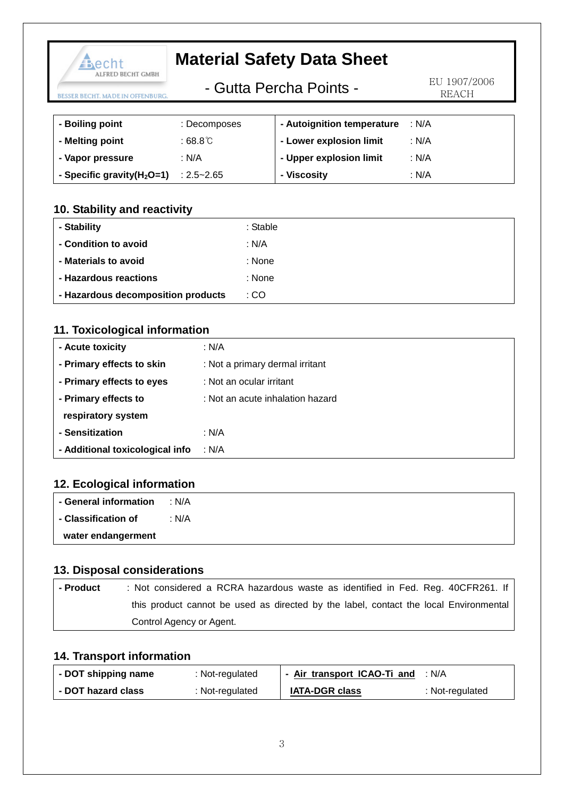| Becht                                          |                         | <b>Material Safety Data Sheet</b> |       |
|------------------------------------------------|-------------------------|-----------------------------------|-------|
| ALFRED BECHT GMBH<br>BECHT. MADE IN OFFENBURG. | - Gutta Percha Points - | EU 1907/2006<br>REACH             |       |
|                                                |                         |                                   |       |
| - Boiling point                                | : Decomposes            | - Autoignition temperature        | : N/A |
| - Melting point                                | : $68.8^\circ$          | - Lower explosion limit           | : N/A |
| - Vapor pressure                               | : N/A                   | - Upper explosion limit           | : N/A |

## **10. Stability and reactivity**

**- Specific gravity(H2O=1)** : 2.5~2.65

| - Stability                        | : Stable |
|------------------------------------|----------|
| - Condition to avoid               | : N/A    |
| - Materials to avoid               | : None   |
| - Hazardous reactions              | : None   |
| - Hazardous decomposition products | : CO     |

**- Viscosity**

: N/A

## **11. Toxicological information**

| - Acute toxicity                | : N/A                            |
|---------------------------------|----------------------------------|
| - Primary effects to skin       | : Not a primary dermal irritant  |
| - Primary effects to eyes       | : Not an ocular irritant         |
| - Primary effects to            | : Not an acute inhalation hazard |
| respiratory system              |                                  |
| - Sensitization                 | : N/A                            |
| - Additional toxicological info | ∴N/A                             |

## **12. Ecological information**

| - General information | : N/A |
|-----------------------|-------|
| - Classification of   | : N/A |
| water endangerment    |       |

### **13. Disposal considerations**

| l - Product | : Not considered a RCRA hazardous waste as identified in Fed. Reg. 40CFR261. If       |
|-------------|---------------------------------------------------------------------------------------|
|             | this product cannot be used as directed by the label, contact the local Environmental |
|             | Control Agency or Agent.                                                              |

## **14. Transport information**

| - DOT shipping name | : Not-regulated | - Air transport ICAO-Ti and | ∴ N/A           |
|---------------------|-----------------|-----------------------------|-----------------|
| - DOT hazard class  | : Not-regulated | <b>IATA-DGR class</b>       | : Not-regulated |